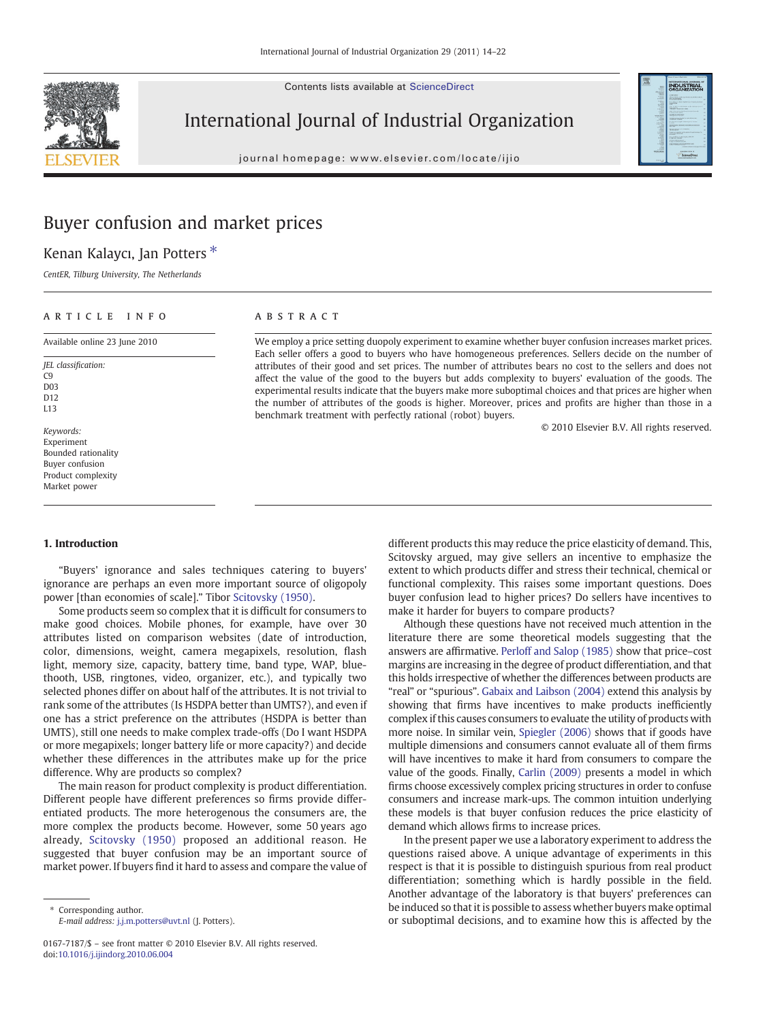Contents lists available at ScienceDirect



International Journal of Industrial Organization

journal homepage: www.elsevier.com/locate/ijio



# Buyer confusion and market prices

# Kenan Kalaycı, Jan Potters<sup>\*</sup>

CentER, Tilburg University, The Netherlands

# article info abstract

Available online 23 June 2010

JEL classification:  $C<sub>9</sub>$ D03 D12 L13

Keywords: Experiment Bounded rationality Buyer confusion Product complexity Market power

# 1. Introduction

"Buyers' ignorance and sales techniques catering to buyers' ignorance are perhaps an even more important source of oligopoly power [than economies of scale]." Tibor [Scitovsky \(1950\)](#page-8-0).

Some products seem so complex that it is difficult for consumers to make good choices. Mobile phones, for example, have over 30 attributes listed on comparison websites (date of introduction, color, dimensions, weight, camera megapixels, resolution, flash light, memory size, capacity, battery time, band type, WAP, bluethooth, USB, ringtones, video, organizer, etc.), and typically two selected phones differ on about half of the attributes. It is not trivial to rank some of the attributes (Is HSDPA better than UMTS?), and even if one has a strict preference on the attributes (HSDPA is better than UMTS), still one needs to make complex trade-offs (Do I want HSDPA or more megapixels; longer battery life or more capacity?) and decide whether these differences in the attributes make up for the price difference. Why are products so complex?

The main reason for product complexity is product differentiation. Different people have different preferences so firms provide differentiated products. The more heterogenous the consumers are, the more complex the products become. However, some 50 years ago already, [Scitovsky \(1950\)](#page-8-0) proposed an additional reason. He suggested that buyer confusion may be an important source of market power. If buyers find it hard to assess and compare the value of

We employ a price setting duopoly experiment to examine whether buyer confusion increases market prices. Each seller offers a good to buyers who have homogeneous preferences. Sellers decide on the number of attributes of their good and set prices. The number of attributes bears no cost to the sellers and does not affect the value of the good to the buyers but adds complexity to buyers' evaluation of the goods. The experimental results indicate that the buyers make more suboptimal choices and that prices are higher when the number of attributes of the goods is higher. Moreover, prices and profits are higher than those in a benchmark treatment with perfectly rational (robot) buyers.

© 2010 Elsevier B.V. All rights reserved.

different products this may reduce the price elasticity of demand. This, Scitovsky argued, may give sellers an incentive to emphasize the extent to which products differ and stress their technical, chemical or functional complexity. This raises some important questions. Does buyer confusion lead to higher prices? Do sellers have incentives to make it harder for buyers to compare products?

Although these questions have not received much attention in the literature there are some theoretical models suggesting that the answers are affirmative. [Perloff and Salop \(1985\)](#page-8-0) show that price–cost margins are increasing in the degree of product differentiation, and that this holds irrespective of whether the differences between products are "real" or "spurious". [Gabaix and Laibson \(2004\)](#page-8-0) extend this analysis by showing that firms have incentives to make products inefficiently complex if this causes consumers to evaluate the utility of products with more noise. In similar vein, [Spiegler \(2006\)](#page-8-0) shows that if goods have multiple dimensions and consumers cannot evaluate all of them firms will have incentives to make it hard from consumers to compare the value of the goods. Finally, [Carlin \(2009\)](#page-8-0) presents a model in which firms choose excessively complex pricing structures in order to confuse consumers and increase mark-ups. The common intuition underlying these models is that buyer confusion reduces the price elasticity of demand which allows firms to increase prices.

In the present paper we use a laboratory experiment to address the questions raised above. A unique advantage of experiments in this respect is that it is possible to distinguish spurious from real product differentiation; something which is hardly possible in the field. Another advantage of the laboratory is that buyers' preferences can be induced so that it is possible to assess whether buyers make optimal or suboptimal decisions, and to examine how this is affected by the

<sup>⁎</sup> Corresponding author.

E-mail address: [j.j.m.potters@uvt.nl](mailto:j.j.m.potters@uvt.nl) (J. Potters).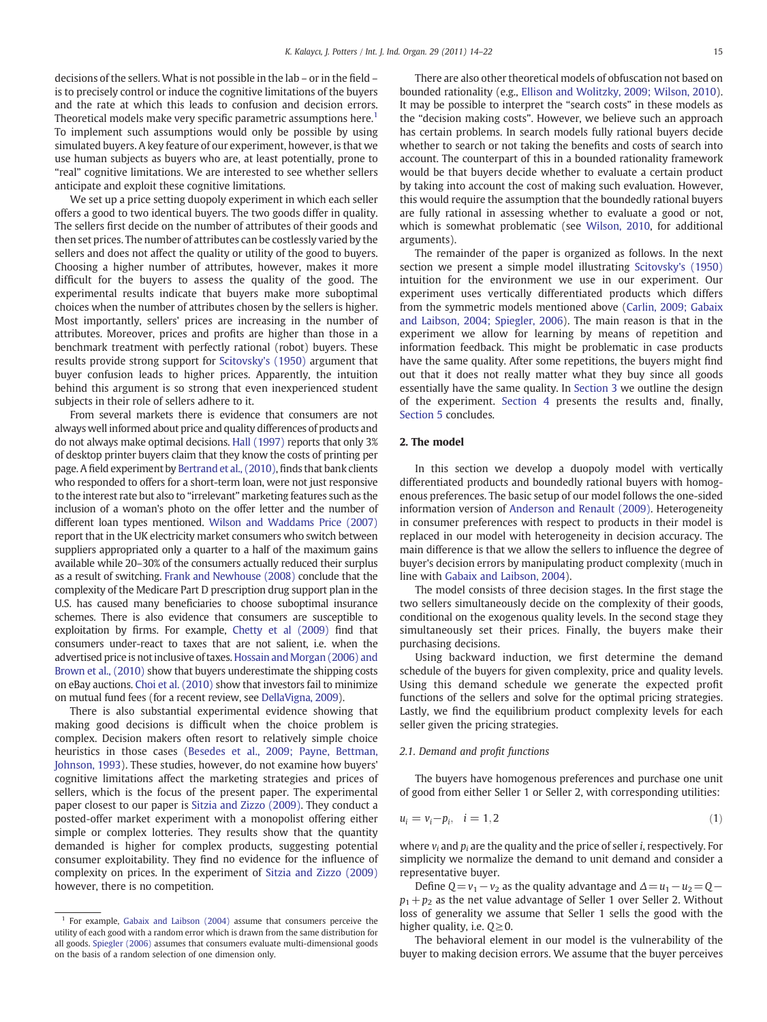decisions of the sellers. What is not possible in the lab – or in the field – is to precisely control or induce the cognitive limitations of the buyers and the rate at which this leads to confusion and decision errors. Theoretical models make very specific parametric assumptions here.<sup>1</sup> To implement such assumptions would only be possible by using simulated buyers. A key feature of our experiment, however, is that we use human subjects as buyers who are, at least potentially, prone to "real" cognitive limitations. We are interested to see whether sellers anticipate and exploit these cognitive limitations.

We set up a price setting duopoly experiment in which each seller offers a good to two identical buyers. The two goods differ in quality. The sellers first decide on the number of attributes of their goods and then set prices. The number of attributes can be costlessly varied by the sellers and does not affect the quality or utility of the good to buyers. Choosing a higher number of attributes, however, makes it more difficult for the buyers to assess the quality of the good. The experimental results indicate that buyers make more suboptimal choices when the number of attributes chosen by the sellers is higher. Most importantly, sellers' prices are increasing in the number of attributes. Moreover, prices and profits are higher than those in a benchmark treatment with perfectly rational (robot) buyers. These results provide strong support for [Scitovsky's \(1950\)](#page-8-0) argument that buyer confusion leads to higher prices. Apparently, the intuition behind this argument is so strong that even inexperienced student subjects in their role of sellers adhere to it.

From several markets there is evidence that consumers are not always well informed about price and quality differences of products and do not always make optimal decisions. [Hall \(1997\)](#page-8-0) reports that only 3% of desktop printer buyers claim that they know the costs of printing per page. Afield experiment by [Bertrand et al., \(2010\)](#page-8-0), finds that bank clients who responded to offers for a short-term loan, were not just responsive to the interest rate but also to "irrelevant" marketing features such as the inclusion of a woman's photo on the offer letter and the number of different loan types mentioned. [Wilson and Waddams Price \(2007\)](#page-8-0) report that in the UK electricity market consumers who switch between suppliers appropriated only a quarter to a half of the maximum gains available while 20–30% of the consumers actually reduced their surplus as a result of switching. [Frank and Newhouse \(2008\)](#page-8-0) conclude that the complexity of the Medicare Part D prescription drug support plan in the U.S. has caused many beneficiaries to choose suboptimal insurance schemes. There is also evidence that consumers are susceptible to exploitation by firms. For example, [Chetty et al \(2009\)](#page-8-0) find that consumers under-react to taxes that are not salient, i.e. when the advertised price is not inclusive of taxes. Hossain and Morgan (2006) and [Brown et al., \(2010\)](#page-8-0) show that buyers underestimate the shipping costs on eBay auctions. [Choi et al. \(2010\)](#page-8-0) show that investors fail to minimize on mutual fund fees (for a recent review, see [DellaVigna, 2009\)](#page-8-0).

There is also substantial experimental evidence showing that making good decisions is difficult when the choice problem is complex. Decision makers often resort to relatively simple choice heuristics in those cases [\(Besedes et al., 2009; Payne, Bettman,](#page-8-0) [Johnson, 1993\)](#page-8-0). These studies, however, do not examine how buyers' cognitive limitations affect the marketing strategies and prices of sellers, which is the focus of the present paper. The experimental paper closest to our paper is [Sitzia and Zizzo \(2009\).](#page-8-0) They conduct a posted-offer market experiment with a monopolist offering either simple or complex lotteries. They results show that the quantity demanded is higher for complex products, suggesting potential consumer exploitability. They find no evidence for the influence of complexity on prices. In the experiment of [Sitzia and Zizzo \(2009\)](#page-8-0) however, there is no competition.

There are also other theoretical models of obfuscation not based on bounded rationality (e.g., [Ellison and Wolitzky, 2009; Wilson, 2010](#page-8-0)). It may be possible to interpret the "search costs" in these models as the "decision making costs". However, we believe such an approach has certain problems. In search models fully rational buyers decide whether to search or not taking the benefits and costs of search into account. The counterpart of this in a bounded rationality framework would be that buyers decide whether to evaluate a certain product by taking into account the cost of making such evaluation. However, this would require the assumption that the boundedly rational buyers are fully rational in assessing whether to evaluate a good or not, which is somewhat problematic (see [Wilson, 2010,](#page-8-0) for additional arguments).

The remainder of the paper is organized as follows. In the next section we present a simple model illustrating [Scitovsky's \(1950\)](#page-8-0) intuition for the environment we use in our experiment. Our experiment uses vertically differentiated products which differs from the symmetric models mentioned above ([Carlin, 2009; Gabaix](#page-8-0) [and Laibson, 2004; Spiegler, 2006](#page-8-0)). The main reason is that in the experiment we allow for learning by means of repetition and information feedback. This might be problematic in case products have the same quality. After some repetitions, the buyers might find out that it does not really matter what they buy since all goods essentially have the same quality. In [Section 3](#page-2-0) we outline the design of the experiment. [Section 4](#page-3-0) presents the results and, finally, [Section 5](#page-7-0) concludes.

#### 2. The model

In this section we develop a duopoly model with vertically differentiated products and boundedly rational buyers with homogenous preferences. The basic setup of our model follows the one-sided information version of [Anderson and Renault \(2009\)](#page-8-0). Heterogeneity in consumer preferences with respect to products in their model is replaced in our model with heterogeneity in decision accuracy. The main difference is that we allow the sellers to influence the degree of buyer's decision errors by manipulating product complexity (much in line with [Gabaix and Laibson, 2004\)](#page-8-0).

The model consists of three decision stages. In the first stage the two sellers simultaneously decide on the complexity of their goods, conditional on the exogenous quality levels. In the second stage they simultaneously set their prices. Finally, the buyers make their purchasing decisions.

Using backward induction, we first determine the demand schedule of the buyers for given complexity, price and quality levels. Using this demand schedule we generate the expected profit functions of the sellers and solve for the optimal pricing strategies. Lastly, we find the equilibrium product complexity levels for each seller given the pricing strategies.

#### 2.1. Demand and profit functions

The buyers have homogenous preferences and purchase one unit of good from either Seller 1 or Seller 2, with corresponding utilities:

$$
u_i = v_i - p_i, \quad i = 1, 2 \tag{1}
$$

where  $v_i$  and  $p_i$  are the quality and the price of seller *i*, respectively. For simplicity we normalize the demand to unit demand and consider a representative buyer.

Define  $Q=v_1-v_2$  as the quality advantage and  $\Delta=u_1-u_2=Q$  $p_1+p_2$  as the net value advantage of Seller 1 over Seller 2. Without loss of generality we assume that Seller 1 sells the good with the higher quality, i.e.  $0 \ge 0$ .

The behavioral element in our model is the vulnerability of the buyer to making decision errors. We assume that the buyer perceives

<sup>1</sup> For example, [Gabaix and Laibson \(2004\)](#page-8-0) assume that consumers perceive the utility of each good with a random error which is drawn from the same distribution for all goods. [Spiegler \(2006\)](#page-8-0) assumes that consumers evaluate multi-dimensional goods on the basis of a random selection of one dimension only.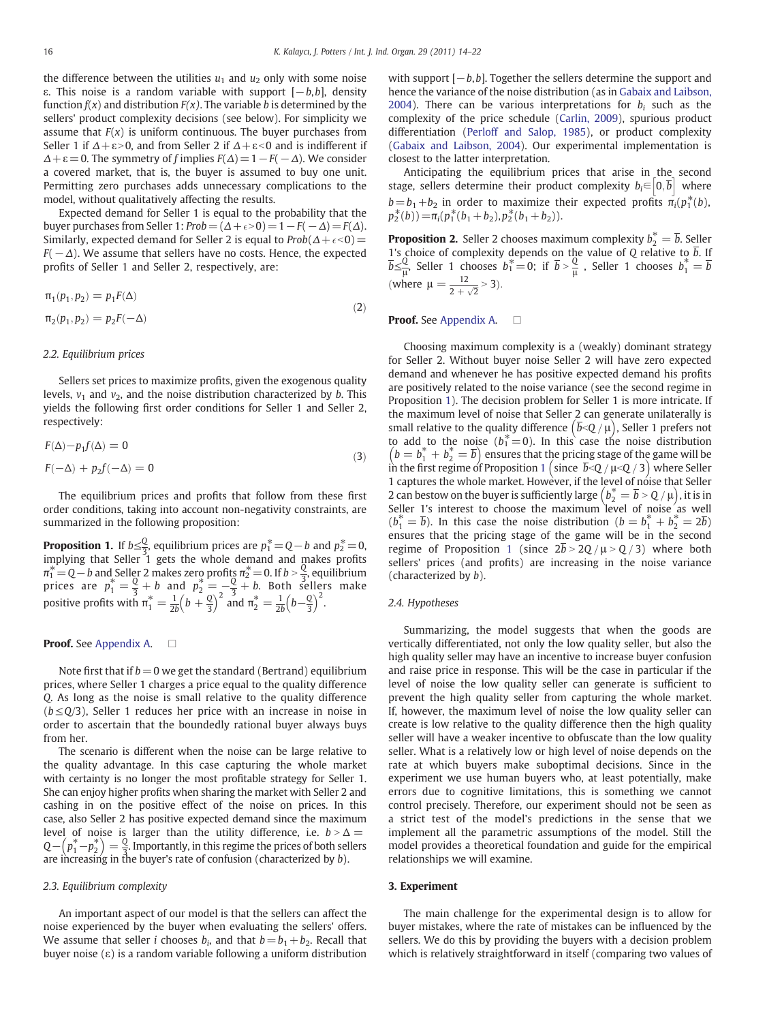<span id="page-2-0"></span>the difference between the utilities  $u_1$  and  $u_2$  only with some noise ε. This noise is a random variable with support  $[-b, b]$ , density function  $f(x)$  and distribution  $F(x)$ . The variable *b* is determined by the sellers' product complexity decisions (see below). For simplicity we assume that  $F(x)$  is uniform continuous. The buyer purchases from Seller 1 if  $\Delta + \epsilon > 0$ , and from Seller 2 if  $\Delta + \epsilon < 0$  and is indifferent if  $\Delta + \epsilon = 0$ . The symmetry of f implies  $F(\Delta) = 1 - F(-\Delta)$ . We consider a covered market, that is, the buyer is assumed to buy one unit. Permitting zero purchases adds unnecessary complications to the model, without qualitatively affecting the results.

Expected demand for Seller 1 is equal to the probability that the buyer purchases from Seller 1:  $Prob = (\Delta + \epsilon > 0) = 1 - F(-\Delta) = F(\Delta)$ . Similarly, expected demand for Seller 2 is equal to  $Prob(\Delta + \epsilon < 0) =$  $F(-\Delta)$ . We assume that sellers have no costs. Hence, the expected profits of Seller 1 and Seller 2, respectively, are:

$$
\pi_1(p_1, p_2) = p_1 F(\Delta)
$$
  
\n
$$
\pi_2(p_1, p_2) = p_2 F(-\Delta)
$$
\n(2)

#### 2.2. Equilibrium prices

Sellers set prices to maximize profits, given the exogenous quality levels,  $v_1$  and  $v_2$ , and the noise distribution characterized by b. This yields the following first order conditions for Seller 1 and Seller 2, respectively:

$$
F(\Delta) - p_1 f(\Delta) = 0
$$
  
 
$$
F(-\Delta) + p_2 f(-\Delta) = 0
$$
 (3)

The equilibrium prices and profits that follow from these first order conditions, taking into account non-negativity constraints, are summarized in the following proposition:

**Proposition 1.** If  $b \leq \frac{Q}{3}$ , equilibrium prices are  $p_1^* = Q - b$  and  $p_2^* = 0$ , implying that Seller 1 gets the whole demand and makes profits  $\pi_1^* = Q - b$  and Seller 2 makes zero profits  $\pi_2^* = 0$ . If  $b > \frac{Q}{3}$ , equilibrium prices are  $p_1^* = \frac{Q}{3} + b$  and  $p_2^* = \frac{Q}{3} + b$ . Both sellers make positive profits with  $\pi_1^* = \frac{1}{2b} \left(b + \frac{Q}{3}\right)^2$  and  $\pi_2^* = \frac{1}{2b} \left(b - \frac{Q}{3}\right)^2$ .

#### **Proof.** See [Appendix A.](#page-7-0) □

Note first that if  $b=0$  we get the standard (Bertrand) equilibrium prices, where Seller 1 charges a price equal to the quality difference Q. As long as the noise is small relative to the quality difference  $(b \leq Q/3)$ , Seller 1 reduces her price with an increase in noise in order to ascertain that the boundedly rational buyer always buys from her.

The scenario is different when the noise can be large relative to the quality advantage. In this case capturing the whole market with certainty is no longer the most profitable strategy for Seller 1. She can enjoy higher profits when sharing the market with Seller 2 and cashing in on the positive effect of the noise on prices. In this case, also Seller 2 has positive expected demand since the maximum level of noise is larger than the utility difference, i.e.  $b > \Delta =$  $Q-\left(p_1^* - p_2^*\right) = \frac{Q}{3}$ . Importantly, in this regime the prices of both sellers are increasing in the buyer's rate of confusion (characterized by b).

#### 2.3. Equilibrium complexity

An important aspect of our model is that the sellers can affect the noise experienced by the buyer when evaluating the sellers' offers. We assume that seller *i* chooses  $b_i$ , and that  $b = b_1 + b_2$ . Recall that buyer noise  $(\varepsilon)$  is a random variable following a uniform distribution with support  $[-b,b]$ . Together the sellers determine the support and hence the variance of the noise distribution (as in [Gabaix and Laibson,](#page-8-0) [2004](#page-8-0)). There can be various interpretations for  $b_i$  such as the complexity of the price schedule ([Carlin, 2009\)](#page-8-0), spurious product differentiation ([Perloff and Salop, 1985](#page-8-0)), or product complexity [\(Gabaix and Laibson, 2004](#page-8-0)). Our experimental implementation is closest to the latter interpretation.

Anticipating the equilibrium prices that arise in the second stage, sellers determine their product complexity  $b_i \in \, ]0,\overline{b}]$  where  $b = b_1 + b_2$  in order to maximize their expected profits  $\pi_i(p_1^*(b))$ ,  $p_2^*(b)) = \pi_i(p_1^*(b_1+b_2), p_2^*(b_1+b_2)).$ 

**Proposition 2.** Seller 2 chooses maximum complexity  $b_2^* = \overline{b}$ . Seller 1's choice of complexity depends on the value of Q relative to b. If  $\overline{b} \leq \frac{Q}{\mu}$ , Seller 1 chooses  $b_1^* = \overline{b}$ (where  $\mu = \frac{12}{2 + \sqrt{2}} > 3$ ).

#### **Proof.** See [Appendix A.](#page-7-0)  $□$

Choosing maximum complexity is a (weakly) dominant strategy for Seller 2. Without buyer noise Seller 2 will have zero expected demand and whenever he has positive expected demand his profits are positively related to the noise variance (see the second regime in Proposition [1](#page-7-0)). The decision problem for Seller 1 is more intricate. If the maximum level of noise that Seller 2 can generate unilaterally is small relative to the quality difference  $(\overline{b} < Q/\mu)$ , Seller 1 prefers not to add to the noise ( $b_1^* = 0$ ). In this case the noise distribution  $\left(b=b_1^*+b_2^*=\overline{b}\right)$  ensures that the pricing stage of the game will be in the first regime of Proposition [1](#page-7-0) (since  $\bar{b}$ <Q /  $\mu$ <Q / 3) where Seller 1 captures the whole market. However, if the level of noise that Seller 2 can bestow on the buyer is sufficiently large  $\left(b_2^*=\overline{b} > \overline{\overline{Q}} \; / \; \mu \right)$ , it is in Seller 1's interest to choose the maximum level of noise as well  $(b_1^* = \overline{b})$ . In this case the noise distribution  $(b = b_1^* + b_2^* = 2\overline{b})$ ensures that the pricing stage of the game will be in the second regime of Proposition [1](#page-7-0) (since  $2\overline{b} > 2Q / \mu > Q / 3$ ) where both sellers' prices (and profits) are increasing in the noise variance (characterized by b).

#### 2.4. Hypotheses

Summarizing, the model suggests that when the goods are vertically differentiated, not only the low quality seller, but also the high quality seller may have an incentive to increase buyer confusion and raise price in response. This will be the case in particular if the level of noise the low quality seller can generate is sufficient to prevent the high quality seller from capturing the whole market. If, however, the maximum level of noise the low quality seller can create is low relative to the quality difference then the high quality seller will have a weaker incentive to obfuscate than the low quality seller. What is a relatively low or high level of noise depends on the rate at which buyers make suboptimal decisions. Since in the experiment we use human buyers who, at least potentially, make errors due to cognitive limitations, this is something we cannot control precisely. Therefore, our experiment should not be seen as a strict test of the model's predictions in the sense that we implement all the parametric assumptions of the model. Still the model provides a theoretical foundation and guide for the empirical relationships we will examine.

#### 3. Experiment

The main challenge for the experimental design is to allow for buyer mistakes, where the rate of mistakes can be influenced by the sellers. We do this by providing the buyers with a decision problem which is relatively straightforward in itself (comparing two values of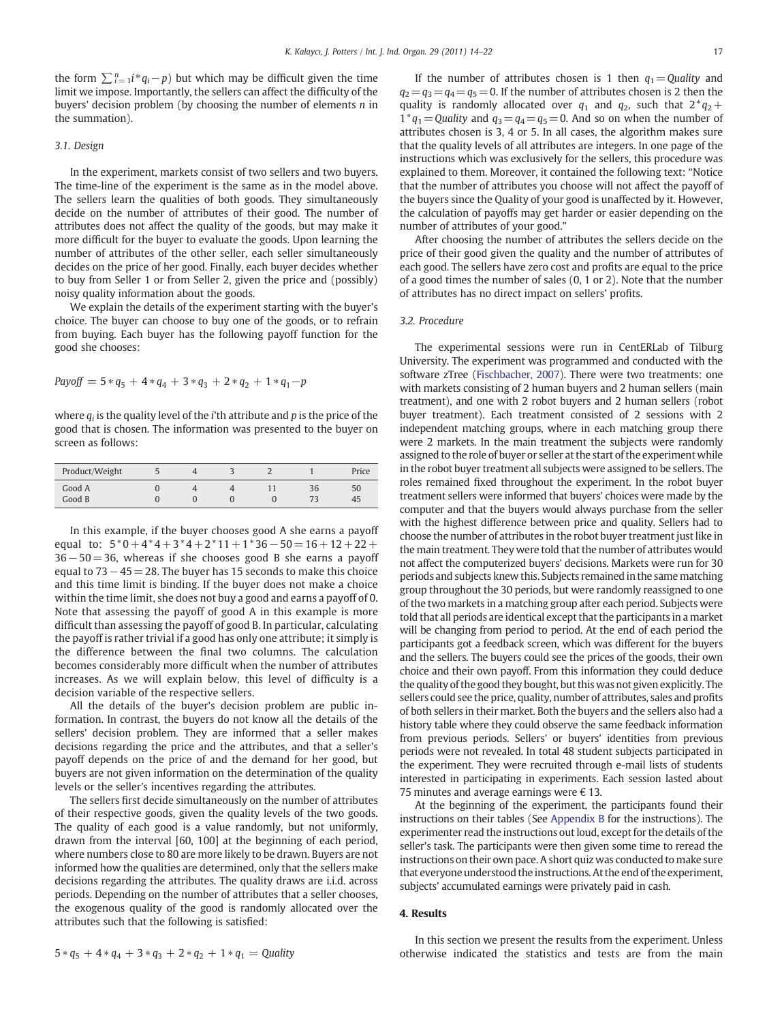<span id="page-3-0"></span>the form  $\sum_{i=1}^{n} i^*q_i-p$ ) but which may be difficult given the time limit we impose. Importantly, the sellers can affect the difficulty of the buyers' decision problem (by choosing the number of elements  $n$  in the summation).

#### 3.1. Design

In the experiment, markets consist of two sellers and two buyers. The time-line of the experiment is the same as in the model above. The sellers learn the qualities of both goods. They simultaneously decide on the number of attributes of their good. The number of attributes does not affect the quality of the goods, but may make it more difficult for the buyer to evaluate the goods. Upon learning the number of attributes of the other seller, each seller simultaneously decides on the price of her good. Finally, each buyer decides whether to buy from Seller 1 or from Seller 2, given the price and (possibly) noisy quality information about the goods.

We explain the details of the experiment starting with the buyer's choice. The buyer can choose to buy one of the goods, or to refrain from buying. Each buyer has the following payoff function for the good she chooses:

$$
Payoff = 5 * q_5 + 4 * q_4 + 3 * q_3 + 2 * q_2 + 1 * q_1 - p
$$

where  $q_i$  is the quality level of the *i*'th attribute and p is the price of the good that is chosen. The information was presented to the buyer on screen as follows:

| Product/Weight   |  |  |          | Price    |
|------------------|--|--|----------|----------|
| Good A<br>Good B |  |  | 36<br>72 | 50<br>45 |

In this example, if the buyer chooses good A she earns a payoff equal to:  $5 * 0 + 4 * 4 + 3 * 4 + 2 * 11 + 1 * 36 - 50 = 16 + 12 + 22 +$ 36−50= 36, whereas if she chooses good B she earns a payoff equal to 73−45= 28. The buyer has 15 seconds to make this choice and this time limit is binding. If the buyer does not make a choice within the time limit, she does not buy a good and earns a payoff of 0. Note that assessing the payoff of good A in this example is more difficult than assessing the payoff of good B. In particular, calculating the payoff is rather trivial if a good has only one attribute; it simply is the difference between the final two columns. The calculation becomes considerably more difficult when the number of attributes increases. As we will explain below, this level of difficulty is a decision variable of the respective sellers.

All the details of the buyer's decision problem are public information. In contrast, the buyers do not know all the details of the sellers' decision problem. They are informed that a seller makes decisions regarding the price and the attributes, and that a seller's payoff depends on the price of and the demand for her good, but buyers are not given information on the determination of the quality levels or the seller's incentives regarding the attributes.

The sellers first decide simultaneously on the number of attributes of their respective goods, given the quality levels of the two goods. The quality of each good is a value randomly, but not uniformly, drawn from the interval [60, 100] at the beginning of each period, where numbers close to 80 are more likely to be drawn. Buyers are not informed how the qualities are determined, only that the sellers make decisions regarding the attributes. The quality draws are i.i.d. across periods. Depending on the number of attributes that a seller chooses, the exogenous quality of the good is randomly allocated over the attributes such that the following is satisfied:

If the number of attributes chosen is 1 then  $q_1 =$ Quality and  $q_2=q_3=q_4=q_5=0$ . If the number of attributes chosen is 2 then the quality is randomly allocated over  $q_1$  and  $q_2$ , such that  $2 \times q_2 +$  $1 * q_1 =$ Quality and  $q_3 = q_4 = q_5 = 0$ . And so on when the number of attributes chosen is 3, 4 or 5. In all cases, the algorithm makes sure that the quality levels of all attributes are integers. In one page of the instructions which was exclusively for the sellers, this procedure was explained to them. Moreover, it contained the following text: "Notice that the number of attributes you choose will not affect the payoff of the buyers since the Quality of your good is unaffected by it. However, the calculation of payoffs may get harder or easier depending on the number of attributes of your good."

After choosing the number of attributes the sellers decide on the price of their good given the quality and the number of attributes of each good. The sellers have zero cost and profits are equal to the price of a good times the number of sales (0, 1 or 2). Note that the number of attributes has no direct impact on sellers' profits.

#### 3.2. Procedure

The experimental sessions were run in CentERLab of Tilburg University. The experiment was programmed and conducted with the software zTree [\(Fischbacher, 2007\)](#page-8-0). There were two treatments: one with markets consisting of 2 human buyers and 2 human sellers (main treatment), and one with 2 robot buyers and 2 human sellers (robot buyer treatment). Each treatment consisted of 2 sessions with 2 independent matching groups, where in each matching group there were 2 markets. In the main treatment the subjects were randomly assigned to the role of buyer or seller at the start of the experiment while in the robot buyer treatment all subjects were assigned to be sellers. The roles remained fixed throughout the experiment. In the robot buyer treatment sellers were informed that buyers' choices were made by the computer and that the buyers would always purchase from the seller with the highest difference between price and quality. Sellers had to choose the number of attributes in the robot buyer treatment just like in the main treatment. They were told that the number of attributes would not affect the computerized buyers' decisions. Markets were run for 30 periods and subjects knew this. Subjects remained in the same matching group throughout the 30 periods, but were randomly reassigned to one of the two markets in a matching group after each period. Subjects were told that all periods are identical except that the participants in a market will be changing from period to period. At the end of each period the participants got a feedback screen, which was different for the buyers and the sellers. The buyers could see the prices of the goods, their own choice and their own payoff. From this information they could deduce the quality of the good they bought, but this was not given explicitly. The sellers could see the price, quality, number of attributes, sales and profits of both sellers in their market. Both the buyers and the sellers also had a history table where they could observe the same feedback information from previous periods. Sellers' or buyers' identities from previous periods were not revealed. In total 48 student subjects participated in the experiment. They were recruited through e-mail lists of students interested in participating in experiments. Each session lasted about 75 minutes and average earnings were  $\epsilon$  13.

At the beginning of the experiment, the participants found their instructions on their tables (See Appendix B for the instructions). The experimenter read the instructions out loud, except for the details of the seller's task. The participants were then given some time to reread the instructions on their own pace. A short quiz was conducted to make sure that everyone understood the instructions. At the end of the experiment, subjects' accumulated earnings were privately paid in cash.

#### 4. Results

In this section we present the results from the experiment. Unless otherwise indicated the statistics and tests are from the main

 $5 * q_5 + 4 * q_4 + 3 * q_3 + 2 * q_2 + 1 * q_1 =$ Quality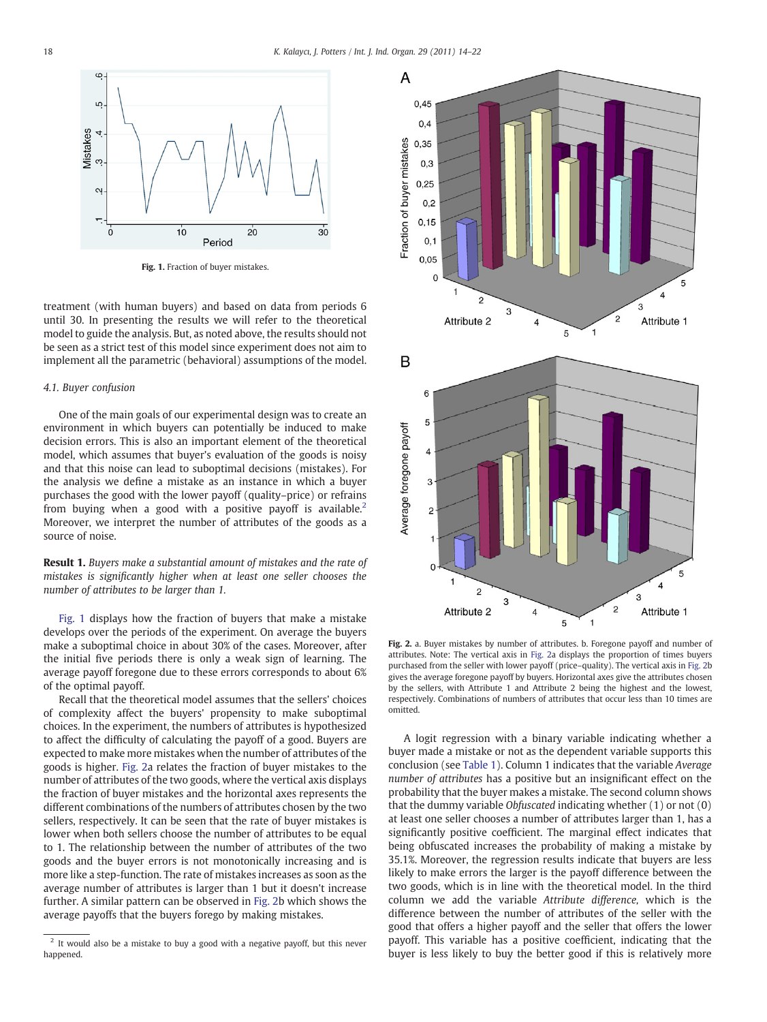<span id="page-4-0"></span>

Fig. 1. Fraction of buyer mistakes.

treatment (with human buyers) and based on data from periods 6 until 30. In presenting the results we will refer to the theoretical model to guide the analysis. But, as noted above, the results should not be seen as a strict test of this model since experiment does not aim to implement all the parametric (behavioral) assumptions of the model.

#### 4.1. Buyer confusion

One of the main goals of our experimental design was to create an environment in which buyers can potentially be induced to make decision errors. This is also an important element of the theoretical model, which assumes that buyer's evaluation of the goods is noisy and that this noise can lead to suboptimal decisions (mistakes). For the analysis we define a mistake as an instance in which a buyer purchases the good with the lower payoff (quality–price) or refrains from buying when a good with a positive payoff is available.<sup>2</sup> Moreover, we interpret the number of attributes of the goods as a source of noise.

Result 1. Buyers make a substantial amount of mistakes and the rate of mistakes is significantly higher when at least one seller chooses the number of attributes to be larger than 1.

Fig. 1 displays how the fraction of buyers that make a mistake develops over the periods of the experiment. On average the buyers make a suboptimal choice in about 30% of the cases. Moreover, after the initial five periods there is only a weak sign of learning. The average payoff foregone due to these errors corresponds to about 6% of the optimal payoff.

Recall that the theoretical model assumes that the sellers' choices of complexity affect the buyers' propensity to make suboptimal choices. In the experiment, the numbers of attributes is hypothesized to affect the difficulty of calculating the payoff of a good. Buyers are expected to make more mistakes when the number of attributes of the goods is higher. Fig. 2a relates the fraction of buyer mistakes to the number of attributes of the two goods, where the vertical axis displays the fraction of buyer mistakes and the horizontal axes represents the different combinations of the numbers of attributes chosen by the two sellers, respectively. It can be seen that the rate of buyer mistakes is lower when both sellers choose the number of attributes to be equal to 1. The relationship between the number of attributes of the two goods and the buyer errors is not monotonically increasing and is more like a step-function. The rate of mistakes increases as soon as the average number of attributes is larger than 1 but it doesn't increase further. A similar pattern can be observed in Fig. 2b which shows the average payoffs that the buyers forego by making mistakes.



Fig. 2. a. Buyer mistakes by number of attributes. b. Foregone payoff and number of attributes. Note: The vertical axis in Fig. 2a displays the proportion of times buyers purchased from the seller with lower payoff (price–quality). The vertical axis in Fig. 2b gives the average foregone payoff by buyers. Horizontal axes give the attributes chosen by the sellers, with Attribute 1 and Attribute 2 being the highest and the lowest, respectively. Combinations of numbers of attributes that occur less than 10 times are omitted.

A logit regression with a binary variable indicating whether a buyer made a mistake or not as the dependent variable supports this conclusion (see [Table 1\)](#page-5-0). Column 1 indicates that the variable Average number of attributes has a positive but an insignificant effect on the probability that the buyer makes a mistake. The second column shows that the dummy variable Obfuscated indicating whether (1) or not (0) at least one seller chooses a number of attributes larger than 1, has a significantly positive coefficient. The marginal effect indicates that being obfuscated increases the probability of making a mistake by 35.1%. Moreover, the regression results indicate that buyers are less likely to make errors the larger is the payoff difference between the two goods, which is in line with the theoretical model. In the third column we add the variable Attribute difference, which is the difference between the number of attributes of the seller with the good that offers a higher payoff and the seller that offers the lower payoff. This variable has a positive coefficient, indicating that the buyer is less likely to buy the better good if this is relatively more

 $2$  It would also be a mistake to buy a good with a negative payoff, but this never happened.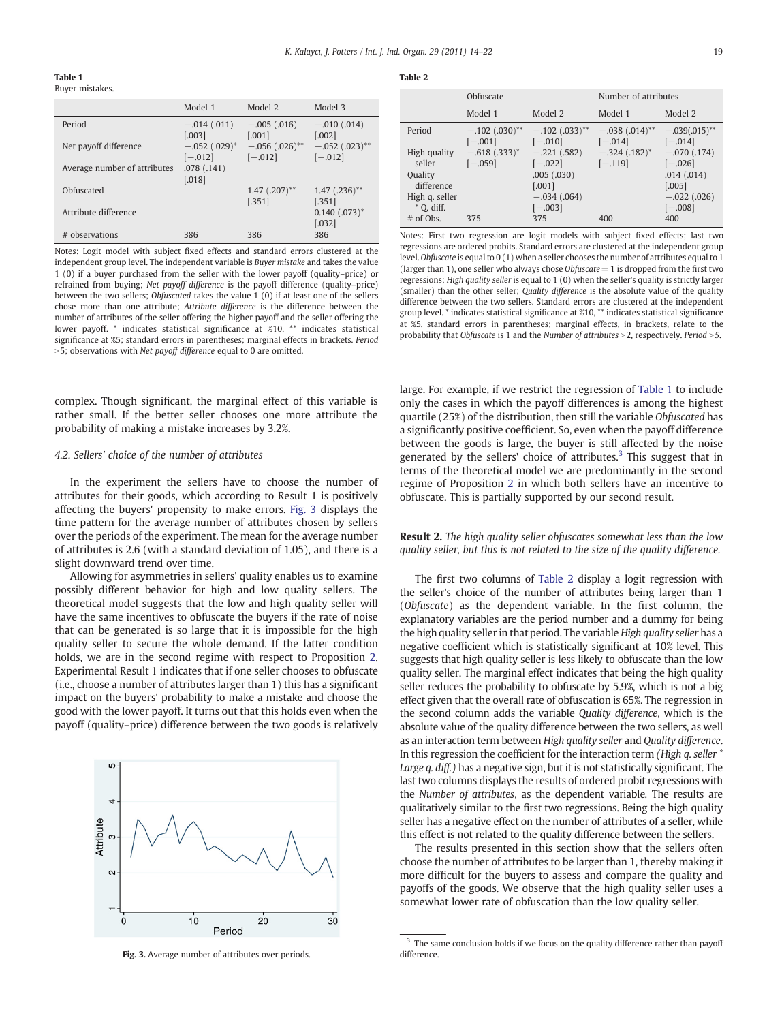<span id="page-5-0"></span>Table 1

Buyer mistakes.

|                              | Model 1                                 | Model 2                       | Model 3                                 |
|------------------------------|-----------------------------------------|-------------------------------|-----------------------------------------|
| Period                       | $-.014(.011)$<br>[.003]                 | $-.005(.016)$<br>[.001]       | $-.010(.014)$<br>[.002]                 |
| Net payoff difference        | $-.052(.029)$ <sup>*</sup><br>$[-.012]$ | $-.056(.026)$ **<br>$[-.012]$ | $-.052(.023)$ **<br>$[-.012]$           |
| Average number of attributes | .078(.141)<br>[.018]                    |                               |                                         |
| Obfuscated                   |                                         | $1.47$ $(.207)$ **<br>[.351]  | $1.47$ $(.236)$ <sup>**</sup><br>[.351] |
| Attribute difference         |                                         |                               | $0.140$ $(.073)^*$<br>[.032]            |
| # observations               | 386                                     | 386                           | 386                                     |

Notes: Logit model with subject fixed effects and standard errors clustered at the independent group level. The independent variable is Buyer mistake and takes the value 1 (0) if a buyer purchased from the seller with the lower payoff (quality–price) or refrained from buying; Net payoff difference is the payoff difference (quality–price) between the two sellers; Obfuscated takes the value 1 (0) if at least one of the sellers chose more than one attribute; Attribute difference is the difference between the number of attributes of the seller offering the higher payoff and the seller offering the lower payoff. \* indicates statistical significance at %10, \*\* indicates statistical significance at %5; standard errors in parentheses; marginal effects in brackets. Period  $>$  5; observations with Net payoff difference equal to 0 are omitted.

complex. Though significant, the marginal effect of this variable is rather small. If the better seller chooses one more attribute the probability of making a mistake increases by 3.2%.

#### 4.2. Sellers' choice of the number of attributes

In the experiment the sellers have to choose the number of attributes for their goods, which according to Result 1 is positively affecting the buyers' propensity to make errors. Fig. 3 displays the time pattern for the average number of attributes chosen by sellers over the periods of the experiment. The mean for the average number of attributes is 2.6 (with a standard deviation of 1.05), and there is a slight downward trend over time.

Allowing for asymmetries in sellers' quality enables us to examine possibly different behavior for high and low quality sellers. The theoretical model suggests that the low and high quality seller will have the same incentives to obfuscate the buyers if the rate of noise that can be generated is so large that it is impossible for the high quality seller to secure the whole demand. If the latter condition holds, we are in the second regime with respect to Proposition [2.](#page-8-0) Experimental Result 1 indicates that if one seller chooses to obfuscate (i.e., choose a number of attributes larger than 1) this has a significant impact on the buyers' probability to make a mistake and choose the good with the lower payoff. It turns out that this holds even when the payoff (quality–price) difference between the two goods is relatively



Fig. 3. Average number of attributes over periods.

#### Table 2

|                                                 | Obfuscate                                |                                                    | Number of attributes                     |                                                    |
|-------------------------------------------------|------------------------------------------|----------------------------------------------------|------------------------------------------|----------------------------------------------------|
|                                                 | Model 1                                  | Model 2                                            | Model 1                                  | Model 2                                            |
| Period                                          | $-.102(.030)$ <sup>**</sup><br>$[-.001]$ | $-.102(.033)$ <sup>**</sup><br>$[-.010]$           | $-.038(.014)$ <sup>**</sup><br>$[-.014]$ | $-.039(.015)$ **<br>$[-.014]$                      |
| High quality<br>seller<br>Quality<br>difference | $-.618(.333)^*$<br>$[-.059]$             | $-.221(.582)$<br>$[-.022]$<br>.005(.030)<br>[.001] | $-.324(.182)^*$<br>$[-.119]$             | $-.070(.174)$<br>$[-.026]$<br>.014(.014)<br>[.005] |
| High q. seller<br>$*$ O. diff.<br>$#$ of Obs.   | 375                                      | $-.034(.064)$<br>$[-.003]$<br>375                  | 400                                      | $-.022(.026)$<br>$[-.008]$<br>400                  |

Notes: First two regression are logit models with subject fixed effects; last two regressions are ordered probits. Standard errors are clustered at the independent group level. Obfuscate is equal to 0 (1) when a seller chooses the number of attributes equal to 1 (larger than 1), one seller who always chose  $Obfuscate = 1$  is dropped from the first two regressions; High quality seller is equal to 1 (0) when the seller's quality is strictly larger (smaller) than the other seller; Quality difference is the absolute value of the quality difference between the two sellers. Standard errors are clustered at the independent group level. \* indicates statistical significance at %10, \*\* indicates statistical significance at %5. standard errors in parentheses; marginal effects, in brackets, relate to the probability that Obfuscate is 1 and the Number of attributes > 2, respectively. Period > 5.

large. For example, if we restrict the regression of Table 1 to include only the cases in which the payoff differences is among the highest quartile (25%) of the distribution, then still the variable Obfuscated has a significantly positive coefficient. So, even when the payoff difference between the goods is large, the buyer is still affected by the noise generated by the sellers' choice of attributes.<sup>3</sup> This suggest that in terms of the theoretical model we are predominantly in the second regime of Proposition [2](#page-8-0) in which both sellers have an incentive to obfuscate. This is partially supported by our second result.

# Result 2. The high quality seller obfuscates somewhat less than the low quality seller, but this is not related to the size of the quality difference.

The first two columns of Table 2 display a logit regression with the seller's choice of the number of attributes being larger than 1 (Obfuscate) as the dependent variable. In the first column, the explanatory variables are the period number and a dummy for being the high quality seller in that period. The variable High quality seller has a negative coefficient which is statistically significant at 10% level. This suggests that high quality seller is less likely to obfuscate than the low quality seller. The marginal effect indicates that being the high quality seller reduces the probability to obfuscate by 5.9%, which is not a big effect given that the overall rate of obfuscation is 65%. The regression in the second column adds the variable Quality difference, which is the absolute value of the quality difference between the two sellers, as well as an interaction term between High quality seller and Quality difference. In this regression the coefficient for the interaction term (High q. seller \* Large q. diff.) has a negative sign, but it is not statistically significant. The last two columns displays the results of ordered probit regressions with the Number of attributes, as the dependent variable. The results are qualitatively similar to the first two regressions. Being the high quality seller has a negative effect on the number of attributes of a seller, while this effect is not related to the quality difference between the sellers.

The results presented in this section show that the sellers often choose the number of attributes to be larger than 1, thereby making it more difficult for the buyers to assess and compare the quality and payoffs of the goods. We observe that the high quality seller uses a somewhat lower rate of obfuscation than the low quality seller.

 $3$  The same conclusion holds if we focus on the quality difference rather than payoff difference.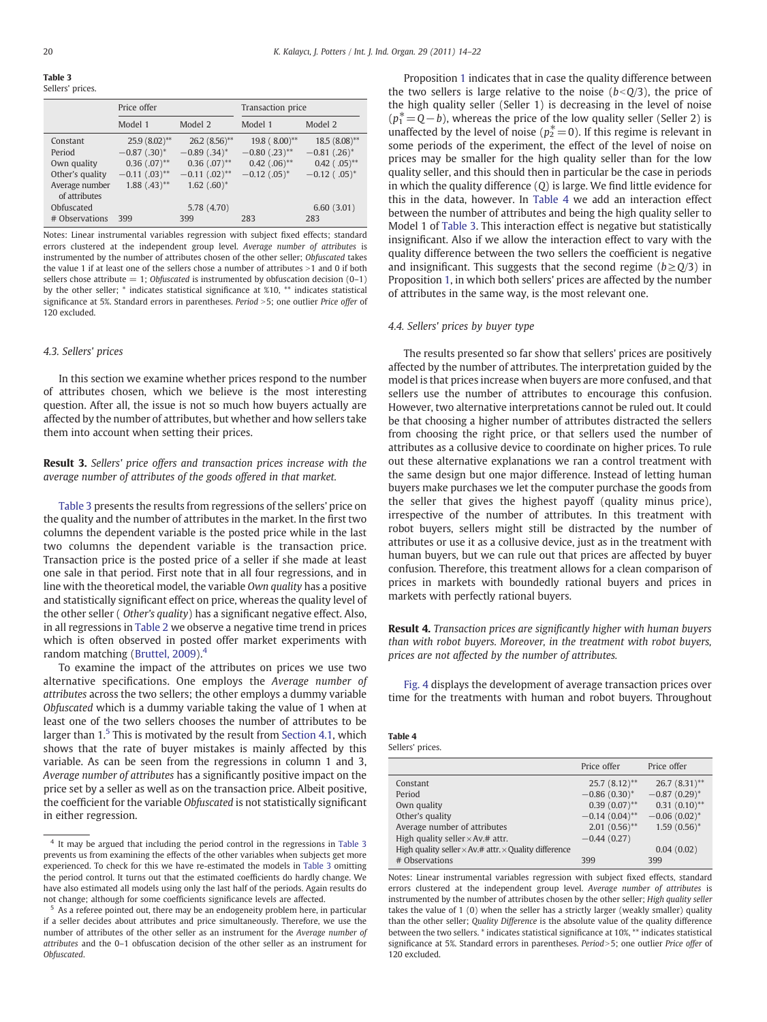<span id="page-6-0"></span>Table 3 Sellers' prices.

|                                 | Price offer                 |                               | Transaction price           |                            |
|---------------------------------|-----------------------------|-------------------------------|-----------------------------|----------------------------|
|                                 | Model 1                     | Model 2                       | Model 1                     | Model 2                    |
| Constant                        | $25.9(8.02)$ **             | $26.2(8.56)$ **               | $19.8$ ( $8.00$ )**         | $18.5(8.08)$ **            |
| Period                          | $-0.87$ (.30) <sup>*</sup>  | $-0.89$ (.34) <sup>*</sup>    | $-0.80$ (.23) <sup>**</sup> | $-0.81$ (.26) <sup>*</sup> |
| Own quality                     | $0.36$ $(.07)$ **           | $0.36$ $(.07)$ **             | $0.42$ $(.06)$ **           | $0.42$ (.05) <sup>**</sup> |
| Other's quality                 | $-0.11$ (.03) <sup>**</sup> | $-0.11$ $(.02)$ <sup>**</sup> | $-0.12$ (.05) <sup>*</sup>  | $-0.12$ (.05) <sup>*</sup> |
| Average number<br>of attributes | $1.88$ $(.43)$ **           | $1.62$ $(.60)^*$              |                             |                            |
| Obfuscated                      |                             | 5.78 (4.70)                   |                             | 6.60(3.01)                 |
| # Observations                  | 399                         | 399                           | 283                         | 283                        |

Notes: Linear instrumental variables regression with subject fixed effects; standard errors clustered at the independent group level. Average number of attributes is instrumented by the number of attributes chosen of the other seller; Obfuscated takes the value 1 if at least one of the sellers chose a number of attributes  $>1$  and 0 if both sellers chose attribute = 1; Obfuscated is instrumented by obfuscation decision  $(0-1)$ by the other seller; \* indicates statistical significance at %10, \*\* indicates statistical significance at 5%. Standard errors in parentheses. Period >5; one outlier Price offer of 120 excluded.

#### 4.3. Sellers' prices

In this section we examine whether prices respond to the number of attributes chosen, which we believe is the most interesting question. After all, the issue is not so much how buyers actually are affected by the number of attributes, but whether and how sellers take them into account when setting their prices.

# Result 3. Sellers' price offers and transaction prices increase with the average number of attributes of the goods offered in that market.

Table 3 presents the results from regressions of the sellers' price on the quality and the number of attributes in the market. In the first two columns the dependent variable is the posted price while in the last two columns the dependent variable is the transaction price. Transaction price is the posted price of a seller if she made at least one sale in that period. First note that in all four regressions, and in line with the theoretical model, the variable Own quality has a positive and statistically significant effect on price, whereas the quality level of the other seller ( Other's quality) has a significant negative effect. Also, in all regressions in [Table 2](#page-5-0) we observe a negative time trend in prices which is often observed in posted offer market experiments with random matching ([Bruttel, 2009](#page-8-0)).<sup>4</sup>

To examine the impact of the attributes on prices we use two alternative specifications. One employs the Average number of attributes across the two sellers; the other employs a dummy variable Obfuscated which is a dummy variable taking the value of 1 when at least one of the two sellers chooses the number of attributes to be larger than 1.<sup>5</sup> This is motivated by the result from [Section 4.1](#page-4-0), which shows that the rate of buyer mistakes is mainly affected by this variable. As can be seen from the regressions in column 1 and 3, Average number of attributes has a significantly positive impact on the price set by a seller as well as on the transaction price. Albeit positive, the coefficient for the variable Obfuscated is not statistically significant in either regression.

Proposition [1](#page-7-0) indicates that in case the quality difference between the two sellers is large relative to the noise  $(b<0/3)$ , the price of the high quality seller (Seller 1) is decreasing in the level of noise  $(p_1^* = Q - b)$ , whereas the price of the low quality seller (Seller 2) is unaffected by the level of noise ( $p_2^* = 0$ ). If this regime is relevant in some periods of the experiment, the effect of the level of noise on prices may be smaller for the high quality seller than for the low quality seller, and this should then in particular be the case in periods in which the quality difference (Q) is large. We find little evidence for this in the data, however. In Table 4 we add an interaction effect between the number of attributes and being the high quality seller to Model 1 of Table 3. This interaction effect is negative but statistically insignificant. Also if we allow the interaction effect to vary with the quality difference between the two sellers the coefficient is negative and insignificant. This suggests that the second regime ( $b \geq Q/3$ ) in Proposition [1,](#page-7-0) in which both sellers' prices are affected by the number of attributes in the same way, is the most relevant one.

#### 4.4. Sellers' prices by buyer type

The results presented so far show that sellers' prices are positively affected by the number of attributes. The interpretation guided by the model is that prices increase when buyers are more confused, and that sellers use the number of attributes to encourage this confusion. However, two alternative interpretations cannot be ruled out. It could be that choosing a higher number of attributes distracted the sellers from choosing the right price, or that sellers used the number of attributes as a collusive device to coordinate on higher prices. To rule out these alternative explanations we ran a control treatment with the same design but one major difference. Instead of letting human buyers make purchases we let the computer purchase the goods from the seller that gives the highest payoff (quality minus price), irrespective of the number of attributes. In this treatment with robot buyers, sellers might still be distracted by the number of attributes or use it as a collusive device, just as in the treatment with human buyers, but we can rule out that prices are affected by buyer confusion. Therefore, this treatment allows for a clean comparison of prices in markets with boundedly rational buyers and prices in markets with perfectly rational buyers.

Result 4. Transaction prices are significantly higher with human buyers than with robot buyers. Moreover, in the treatment with robot buyers, prices are not affected by the number of attributes.

[Fig. 4](#page-7-0) displays the development of average transaction prices over time for the treatments with human and robot buyers. Throughout

| Table 4 |                  |
|---------|------------------|
|         | Sellers' prices. |

|                                                                     | Price offer       | Price offer       |
|---------------------------------------------------------------------|-------------------|-------------------|
| Constant                                                            | $25.7(8.12)$ **   | $26.7(8.31)$ **   |
| Period                                                              | $-0.86(0.30)^{*}$ | $-0.87(0.29)$ *   |
| Own quality                                                         | $0.39(0.07)$ **   | $0.31(0.10)$ **   |
| Other's quality                                                     | $-0.14(0.04)$ **  | $-0.06(0.02)^{*}$ |
| Average number of attributes                                        | $2.01(0.56)$ **   | $1.59(0.56)^*$    |
| High quality seller $\times$ Av.# attr.                             | $-0.44(0.27)$     |                   |
| High quality seller $\times$ Av.# attr. $\times$ Quality difference |                   | 0.04(0.02)        |
| # Observations                                                      | 399               | 399               |

Notes: Linear instrumental variables regression with subject fixed effects, standard errors clustered at the independent group level. Average number of attributes is instrumented by the number of attributes chosen by the other seller; High quality seller takes the value of 1 (0) when the seller has a strictly larger (weakly smaller) quality than the other seller; Quality Difference is the absolute value of the quality difference between the two sellers. \* indicates statistical significance at 10%, \*\* indicates statistical significance at 5%. Standard errors in parentheses. Period>5; one outlier Price offer of 120 excluded.

<sup>4</sup> It may be argued that including the period control in the regressions in Table 3 prevents us from examining the effects of the other variables when subjects get more experienced. To check for this we have re-estimated the models in Table 3 omitting the period control. It turns out that the estimated coefficients do hardly change. We have also estimated all models using only the last half of the periods. Again results do not change; although for some coefficients significance levels are affected.

<sup>&</sup>lt;sup>5</sup> As a referee pointed out, there may be an endogeneity problem here, in particular if a seller decides about attributes and price simultaneously. Therefore, we use the number of attributes of the other seller as an instrument for the Average number of attributes and the 0–1 obfuscation decision of the other seller as an instrument for Obfuscated.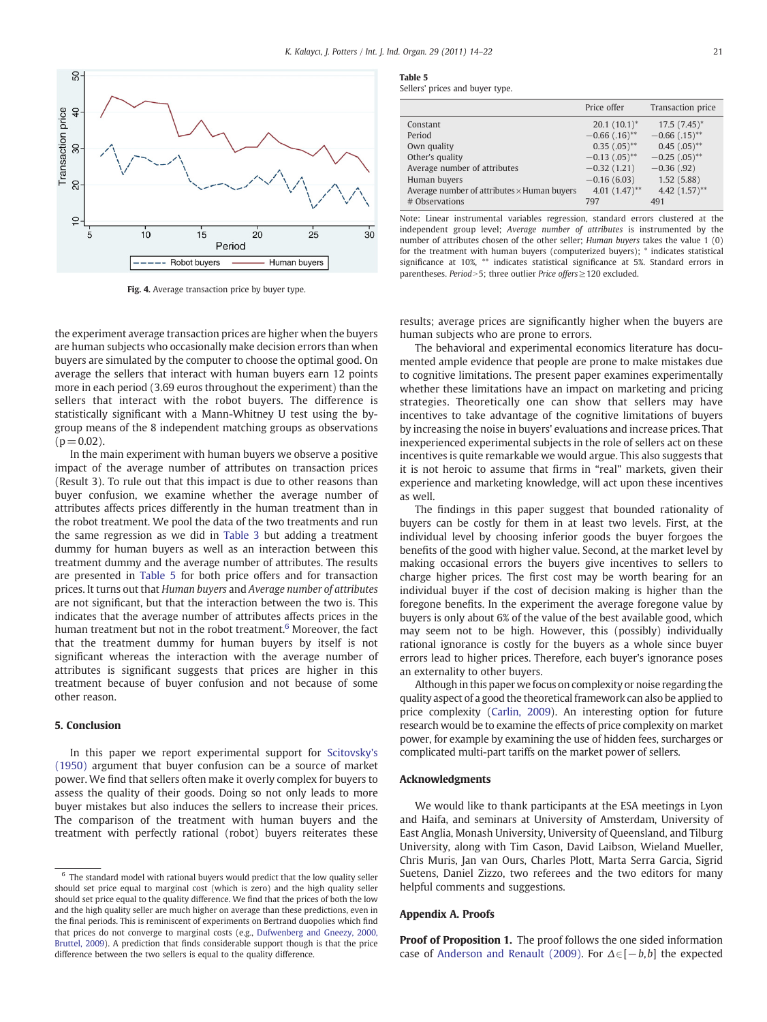<span id="page-7-0"></span>

Fig. 4. Average transaction price by buyer type.

the experiment average transaction prices are higher when the buyers are human subjects who occasionally make decision errors than when buyers are simulated by the computer to choose the optimal good. On average the sellers that interact with human buyers earn 12 points more in each period (3.69 euros throughout the experiment) than the sellers that interact with the robot buyers. The difference is statistically significant with a Mann-Whitney U test using the bygroup means of the 8 independent matching groups as observations  $(p = 0.02)$ .

In the main experiment with human buyers we observe a positive impact of the average number of attributes on transaction prices (Result 3). To rule out that this impact is due to other reasons than buyer confusion, we examine whether the average number of attributes affects prices differently in the human treatment than in the robot treatment. We pool the data of the two treatments and run the same regression as we did in [Table 3](#page-6-0) but adding a treatment dummy for human buyers as well as an interaction between this treatment dummy and the average number of attributes. The results are presented in Table 5 for both price offers and for transaction prices. It turns out that Human buyers and Average number of attributes are not significant, but that the interaction between the two is. This indicates that the average number of attributes affects prices in the human treatment but not in the robot treatment.<sup>6</sup> Moreover, the fact that the treatment dummy for human buyers by itself is not significant whereas the interaction with the average number of attributes is significant suggests that prices are higher in this treatment because of buyer confusion and not because of some other reason.

### 5. Conclusion

In this paper we report experimental support for [Scitovsky's](#page-8-0) [\(1950\)](#page-8-0) argument that buyer confusion can be a source of market power. We find that sellers often make it overly complex for buyers to assess the quality of their goods. Doing so not only leads to more buyer mistakes but also induces the sellers to increase their prices. The comparison of the treatment with human buyers and the treatment with perfectly rational (robot) buyers reiterates these

Sellers' prices and buyer type.

|                                                    | Price offer                 | Transaction price           |
|----------------------------------------------------|-----------------------------|-----------------------------|
| Constant                                           | $20.1(10.1)^*$              | $17.5(7.45)^*$              |
| Period                                             | $-0.66$ (.16) <sup>**</sup> | $-0.66$ (.15)**             |
| Own quality                                        | $0.35(.05)$ **              | $0.45$ $(.05)$ **           |
| Other's quality                                    | $-0.13$ (.05) <sup>**</sup> | $-0.25$ (.05) <sup>**</sup> |
| Average number of attributes                       | $-0.32(1.21)$               | $-0.36$ (.92)               |
| Human buyers                                       | $-0.16(6.03)$               | 1.52(5.88)                  |
| Average number of attributes $\times$ Human buyers | $4.01(1.47)$ **             | 4.42 $(1.57)$ **            |
| # Observations                                     | 797                         | 491                         |

Note: Linear instrumental variables regression, standard errors clustered at the independent group level; Average number of attributes is instrumented by the number of attributes chosen of the other seller; Human buyers takes the value 1 (0) for the treatment with human buyers (computerized buyers); \* indicates statistical significance at 10%, \*\* indicates statistical significance at 5%. Standard errors in parentheses. Period>5; three outlier Price offers≥120 excluded.

results; average prices are significantly higher when the buyers are human subjects who are prone to errors.

The behavioral and experimental economics literature has documented ample evidence that people are prone to make mistakes due to cognitive limitations. The present paper examines experimentally whether these limitations have an impact on marketing and pricing strategies. Theoretically one can show that sellers may have incentives to take advantage of the cognitive limitations of buyers by increasing the noise in buyers' evaluations and increase prices. That inexperienced experimental subjects in the role of sellers act on these incentives is quite remarkable we would argue. This also suggests that it is not heroic to assume that firms in "real" markets, given their experience and marketing knowledge, will act upon these incentives as well.

The findings in this paper suggest that bounded rationality of buyers can be costly for them in at least two levels. First, at the individual level by choosing inferior goods the buyer forgoes the benefits of the good with higher value. Second, at the market level by making occasional errors the buyers give incentives to sellers to charge higher prices. The first cost may be worth bearing for an individual buyer if the cost of decision making is higher than the foregone benefits. In the experiment the average foregone value by buyers is only about 6% of the value of the best available good, which may seem not to be high. However, this (possibly) individually rational ignorance is costly for the buyers as a whole since buyer errors lead to higher prices. Therefore, each buyer's ignorance poses an externality to other buyers.

Although in this paper we focus on complexity or noise regarding the quality aspect of a good the theoretical framework can also be applied to price complexity ([Carlin, 2009\)](#page-8-0). An interesting option for future research would be to examine the effects of price complexity on market power, for example by examining the use of hidden fees, surcharges or complicated multi-part tariffs on the market power of sellers.

#### Acknowledgments

We would like to thank participants at the ESA meetings in Lyon and Haifa, and seminars at University of Amsterdam, University of East Anglia, Monash University, University of Queensland, and Tilburg University, along with Tim Cason, David Laibson, Wieland Mueller, Chris Muris, Jan van Ours, Charles Plott, Marta Serra Garcia, Sigrid Suetens, Daniel Zizzo, two referees and the two editors for many helpful comments and suggestions.

#### Appendix A. Proofs

Proof of Proposition 1. The proof follows the one sided information case of [Anderson and Renault \(2009\).](#page-8-0) For  $\Delta \in [-b, b]$  the expected

 $6$  The standard model with rational buyers would predict that the low quality seller should set price equal to marginal cost (which is zero) and the high quality seller should set price equal to the quality difference. We find that the prices of both the low and the high quality seller are much higher on average than these predictions, even in the final periods. This is reminiscent of experiments on Bertrand duopolies which find that prices do not converge to marginal costs (e.g., [Dufwenberg and Gneezy, 2000,](#page-8-0) [Bruttel, 2009](#page-8-0)). A prediction that finds considerable support though is that the price difference between the two sellers is equal to the quality difference.